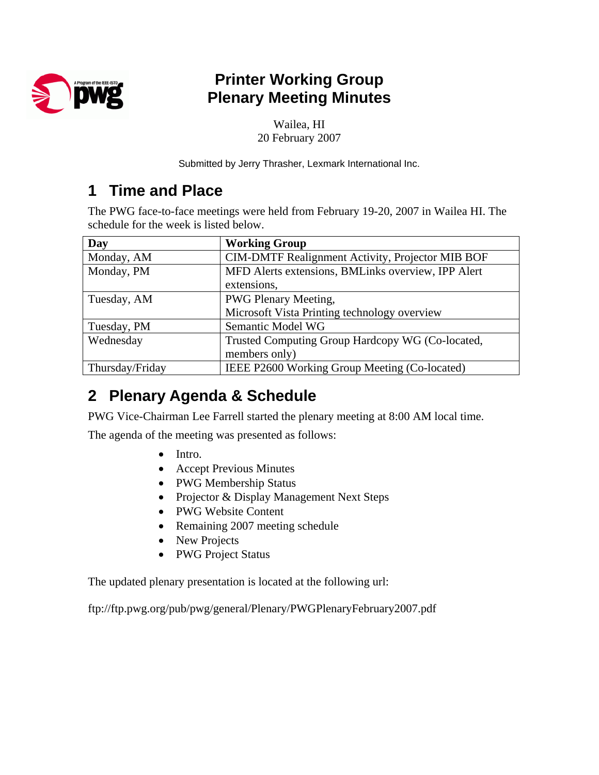

## **Printer Working Group Plenary Meeting Minutes**

Wailea, HI 20 February 2007

Submitted by Jerry Thrasher, Lexmark International Inc.

### **1 Time and Place**

The PWG face-to-face meetings were held from February 19-20, 2007 in Wailea HI. The schedule for the week is listed below.

| Day             | <b>Working Group</b>                               |
|-----------------|----------------------------------------------------|
| Monday, AM      | CIM-DMTF Realignment Activity, Projector MIB BOF   |
| Monday, PM      | MFD Alerts extensions, BMLinks overview, IPP Alert |
|                 | extensions,                                        |
| Tuesday, AM     | <b>PWG Plenary Meeting,</b>                        |
|                 | Microsoft Vista Printing technology overview       |
| Tuesday, PM     | Semantic Model WG                                  |
| Wednesday       | Trusted Computing Group Hardcopy WG (Co-located,   |
|                 | members only)                                      |
| Thursday/Friday | IEEE P2600 Working Group Meeting (Co-located)      |

## **2 Plenary Agenda & Schedule**

PWG Vice-Chairman Lee Farrell started the plenary meeting at 8:00 AM local time.

The agenda of the meeting was presented as follows:

- Intro.
- Accept Previous Minutes
- PWG Membership Status
- Projector & Display Management Next Steps
- PWG Website Content
- Remaining 2007 meeting schedule
- New Projects
- PWG Project Status

The updated plenary presentation is located at the following url:

ftp://ftp.pwg.org/pub/pwg/general/Plenary/PWGPlenaryFebruary2007.pdf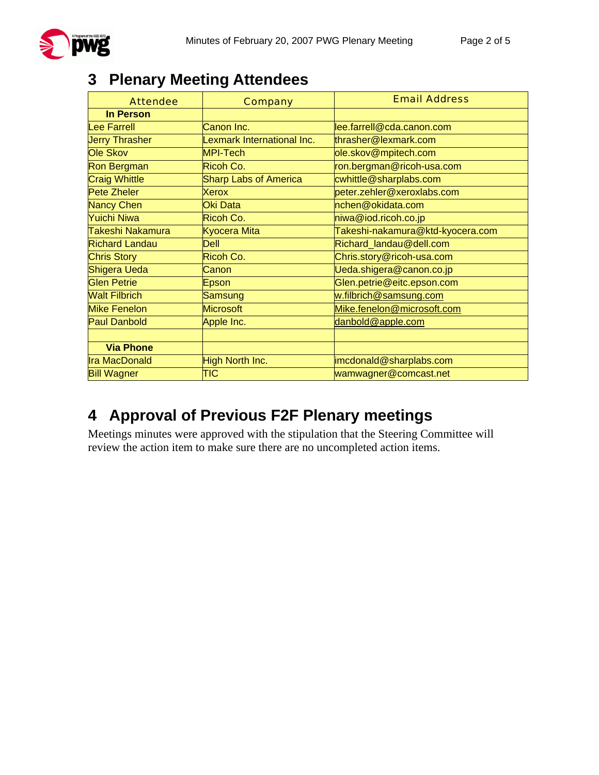# **3 Plenary Meeting Attendees**

| <b>Attendee</b>       | <b>Company</b>               | <b>Email Address</b>             |
|-----------------------|------------------------------|----------------------------------|
| <b>In Person</b>      |                              |                                  |
| <b>Lee Farrell</b>    | Canon Inc.                   | lee.farrell@cda.canon.com        |
| <b>Jerry Thrasher</b> | Lexmark International Inc.   | thrasher@lexmark.com             |
| Ole Skov              | <b>MPI-Tech</b>              | ole.skov@mpitech.com             |
| <b>Ron Bergman</b>    | Ricoh Co.                    | ron.bergman@ricoh-usa.com        |
| <b>Craig Whittle</b>  | <b>Sharp Labs of America</b> | cwhittle@sharplabs.com           |
| Pete Zheler           | <b>Xerox</b>                 | peter.zehler@xeroxlabs.com       |
| <b>Nancy Chen</b>     | Oki Data                     | nchen@okidata.com                |
| Yuichi Niwa           | Ricoh Co.                    | niwa@iod.ricoh.co.jp             |
| Takeshi Nakamura      | Kyocera Mita                 | Takeshi-nakamura@ktd-kyocera.com |
| <b>Richard Landau</b> | <b>Dell</b>                  | Richard_landau@dell.com          |
| <b>Chris Story</b>    | Ricoh Co.                    | Chris.story@ricoh-usa.com        |
| Shigera Ueda          | Canon                        | Ueda.shigera@canon.co.jp         |
| <b>Glen Petrie</b>    | Epson                        | Glen.petrie@eitc.epson.com       |
| <b>Walt Filbrich</b>  | Samsung                      | w.filbrich@samsung.com           |
| <b>Mike Fenelon</b>   | <b>Microsoft</b>             | Mike.fenelon@microsoft.com       |
| <b>Paul Danbold</b>   | Apple Inc.                   | danbold@apple.com                |
|                       |                              |                                  |
| <b>Via Phone</b>      |                              |                                  |
| <b>Ira MacDonald</b>  | High North Inc.              | imcdonald@sharplabs.com          |
| <b>Bill Wagner</b>    | TIC                          | wamwagner@comcast.net            |

# **4 Approval of Previous F2F Plenary meetings**

Meetings minutes were approved with the stipulation that the Steering Committee will review the action item to make sure there are no uncompleted action items.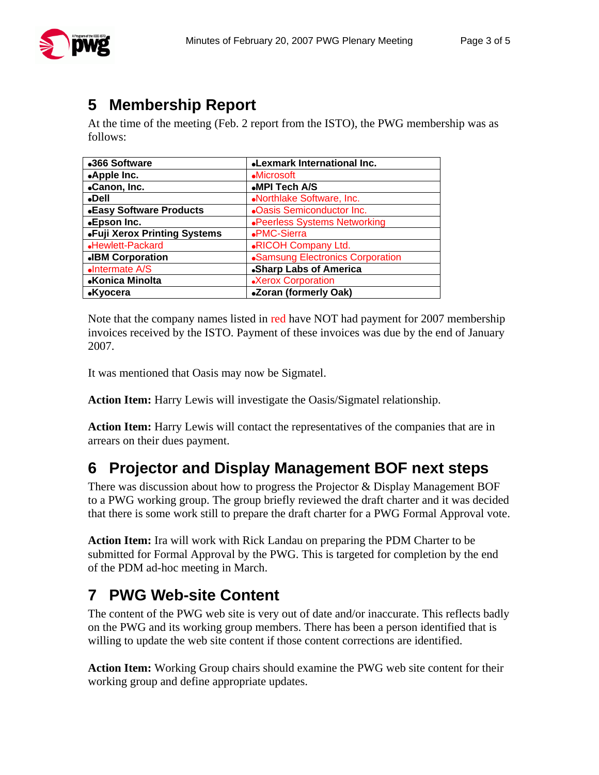At the time of the meeting (Feb. 2 report from the ISTO), the PWG membership was as follows:

| •366 Software                  | <b>.Lexmark International Inc.</b> |
|--------------------------------|------------------------------------|
| •Apple Inc.                    | <b>Microsoft</b>                   |
| •Canon, Inc.                   | •MPI Tech A/S                      |
| $\noindent$ Dell               | •Northlake Software, Inc.          |
| <b>.Easy Software Products</b> | <b>.Oasis Semiconductor Inc.</b>   |
| •Epson Inc.                    | •Peerless Systems Networking       |
| •Fuji Xerox Printing Systems   | •PMC-Sierra                        |
| •Hewlett-Packard               | <b>.RICOH Company Ltd.</b>         |
| <b>.IBM Corporation</b>        | •Samsung Electronics Corporation   |
| •Intermate A/S                 | <b>.Sharp Labs of America</b>      |
| •Konica Minolta                | •Xerox Corporation                 |
| •Kyocera                       | •Zoran (formerly Oak)              |

Note that the company names listed in red have NOT had payment for 2007 membership invoices received by the ISTO. Payment of these invoices was due by the end of January 2007.

It was mentioned that Oasis may now be Sigmatel.

**Action Item:** Harry Lewis will investigate the Oasis/Sigmatel relationship.

**Action Item:** Harry Lewis will contact the representatives of the companies that are in arrears on their dues payment.

## **6 Projector and Display Management BOF next steps**

There was discussion about how to progress the Projector & Display Management BOF to a PWG working group. The group briefly reviewed the draft charter and it was decided that there is some work still to prepare the draft charter for a PWG Formal Approval vote.

**Action Item:** Ira will work with Rick Landau on preparing the PDM Charter to be submitted for Formal Approval by the PWG. This is targeted for completion by the end of the PDM ad-hoc meeting in March.

# **7 PWG Web-site Content**

The content of the PWG web site is very out of date and/or inaccurate. This reflects badly on the PWG and its working group members. There has been a person identified that is willing to update the web site content if those content corrections are identified.

**Action Item:** Working Group chairs should examine the PWG web site content for their working group and define appropriate updates.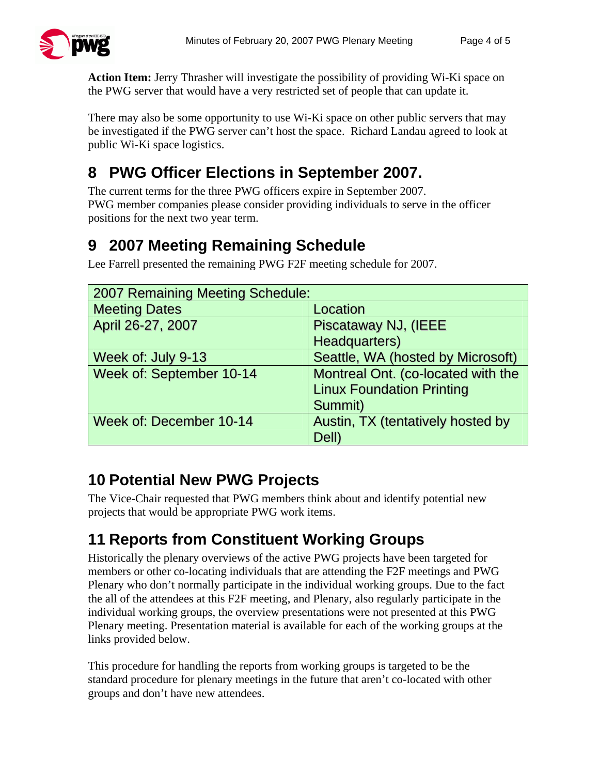

**Action Item:** Jerry Thrasher will investigate the possibility of providing Wi-Ki space on the PWG server that would have a very restricted set of people that can update it.

There may also be some opportunity to use Wi-Ki space on other public servers that may be investigated if the PWG server can't host the space. Richard Landau agreed to look at public Wi-Ki space logistics.

# **8 PWG Officer Elections in September 2007.**

The current terms for the three PWG officers expire in September 2007. PWG member companies please consider providing individuals to serve in the officer positions for the next two year term.

# **9 2007 Meeting Remaining Schedule**

Lee Farrell presented the remaining PWG F2F meeting schedule for 2007.

| 2007 Remaining Meeting Schedule: |                                    |  |
|----------------------------------|------------------------------------|--|
| <b>Meeting Dates</b>             | Location                           |  |
| April 26-27, 2007                | Piscataway NJ, (IEEE               |  |
|                                  | Headquarters)                      |  |
| Week of: July 9-13               | Seattle, WA (hosted by Microsoft)  |  |
| Week of: September 10-14         | Montreal Ont. (co-located with the |  |
|                                  | <b>Linux Foundation Printing</b>   |  |
|                                  | Summit)                            |  |
| Week of: December 10-14          | Austin, TX (tentatively hosted by  |  |
|                                  | Dell)                              |  |

# **10 Potential New PWG Projects**

The Vice-Chair requested that PWG members think about and identify potential new projects that would be appropriate PWG work items.

# **11 Reports from Constituent Working Groups**

Historically the plenary overviews of the active PWG projects have been targeted for members or other co-locating individuals that are attending the F2F meetings and PWG Plenary who don't normally participate in the individual working groups. Due to the fact the all of the attendees at this F2F meeting, and Plenary, also regularly participate in the individual working groups, the overview presentations were not presented at this PWG Plenary meeting. Presentation material is available for each of the working groups at the links provided below.

This procedure for handling the reports from working groups is targeted to be the standard procedure for plenary meetings in the future that aren't co-located with other groups and don't have new attendees.